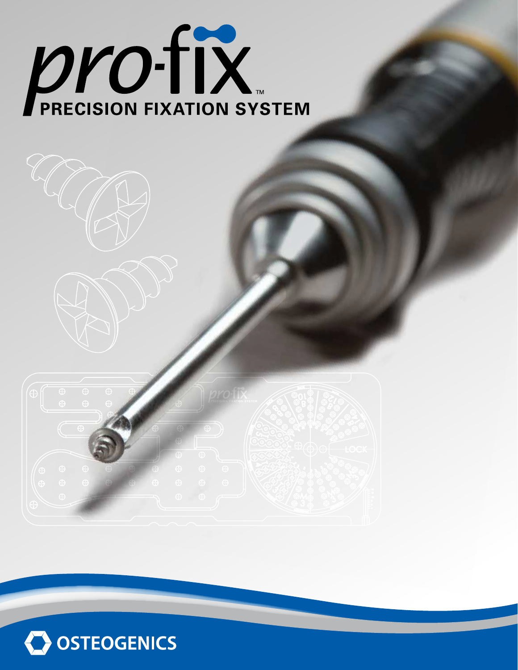# **DESCRIPTION**



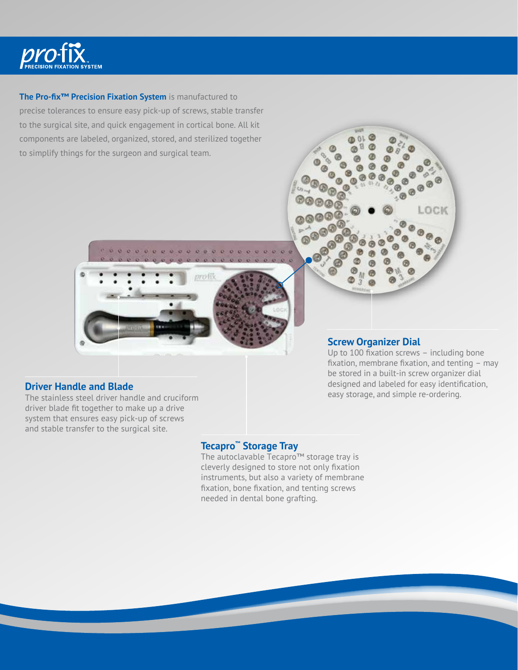

# **The Pro-fix™ Precision Fixation System** is manufactured to

precise tolerances to ensure easy pick-up of screws, stable transfer to the surgical site, and quick engagement in cortical bone. All kit components are labeled, organized, stored, and sterilized together to simplify things for the surgeon and surgical team.



# **Screw Organizer Dial**

Up to 100 fixation screws – including bone fixation, membrane fixation, and tenting – may be stored in a built-in screw organizer dial designed and labeled for easy identification, easy storage, and simple re-ordering.

 $\circledcirc$ 

LOCK

# **Driver Handle and Blade**

The stainless steel driver handle and cruciform driver blade fit together to make up a drive system that ensures easy pick-up of screws and stable transfer to the surgical site.

# **Tecapro™ Storage Tray**

The autoclavable Tecapro™ storage tray is cleverly designed to store not only fixation instruments, but also a variety of membrane fixation, bone fixation, and tenting screws needed in dental bone grafting.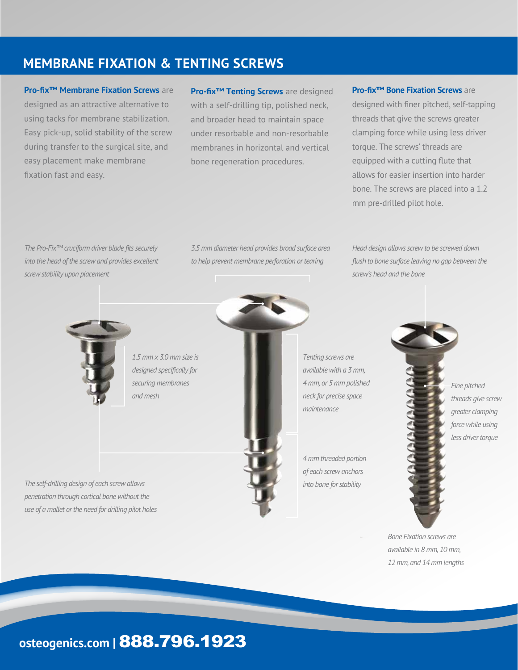# **MEMBRANE FIXATION & TENTING SCREWS**

# **Pro-fix™ Membrane Fixation Screws** are

designed as an attractive alternative to using tacks for membrane stabilization. Easy pick-up, solid stability of the screw during transfer to the surgical site, and easy placement make membrane fixation fast and easy.

**Pro-fix™ Tenting Screws** are designed with a self-drilling tip, polished neck, and broader head to maintain space under resorbable and non-resorbable membranes in horizontal and vertical bone regeneration procedures.

# **Pro-fix™ Bone Fixation Screws** are

designed with finer pitched, self-tapping threads that give the screws greater clamping force while using less driver torque. The screws' threads are equipped with a cutting flute that allows for easier insertion into harder bone. The screws are placed into a 1.2 mm pre-drilled pilot hole.

*The Pro-Fix™ cruciform driver blade fits securely into the head of the screw and provides excellent screw stability upon placement*

*3.5 mm diameter head provides broad surface area to help prevent membrane perforation or tearing*

*Head design allows screw to be screwed down flush to bone surface leaving no gap between the screw's head and the bone*



*1.5 mm x 3.0 mm size is designed specifically for securing membranes and mesh*

*The self-drilling design of each screw allows penetration through cortical bone without the use of a mallet or the need for drilling pilot holes*



*Tenting screws are available with a 3 mm, 4 mm, or 5 mm polished neck for precise space maintenance*

*4 mm threaded portion of each screw anchors into bone for stability*

*Fine pitched threads give screw greater clamping force while using less driver torque*

*Bone Fixation screws are available in 8 mm, 10 mm, 12 mm, and 14 mm lengths*

# **osteogenics.com |** 888.796.1923